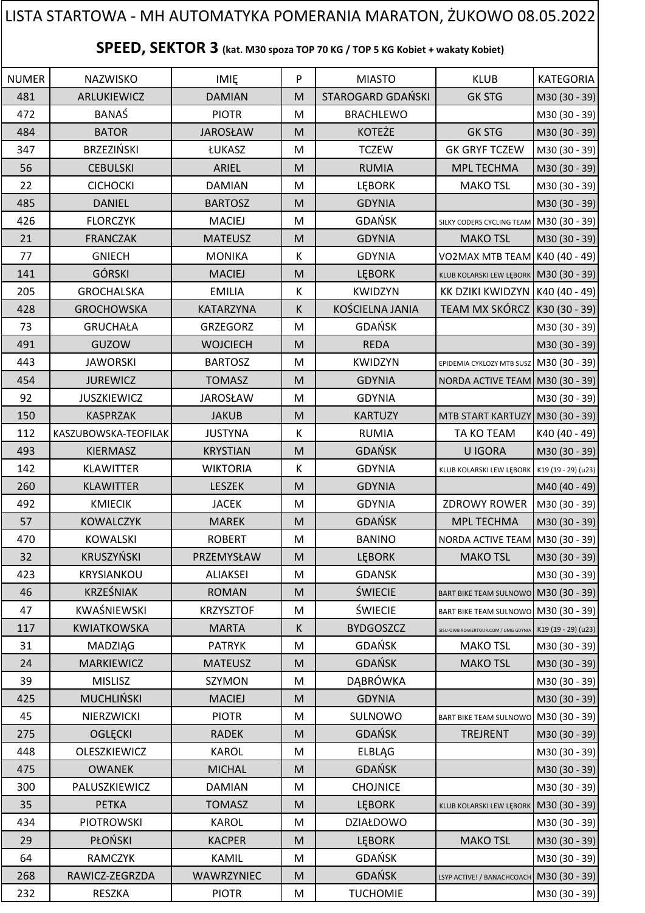## NUMER | NAZWISKO | IMIĘ | P | MIASTO | KLUB |KATEGORIA 481 | ARLUKIEWICZ | DAMIAN | M STAROGARD GDAŃSKI | GK STG | M30 (30 - 39) 472 | BANAŚ | PIOTR |M | BRACHLEWO | M30 (30 - 39) 484 | BATOR | JAROSŁAW | M | KOTEŻE | GK STG |M30 (30 - 39) 347 BRZEZIŃSKI ŁUKASZ M TCZEW GK GRYF TCZEW M30 (30 - 39) 56 CEBULSKI ARIEL M RUMIA MPL TECHMA M30 (30 - 39) 22 | CICHOCKI | DAMIAN |M | LĘBORK | MAKO<code>TSL |</code>M30 (30 - 39) 485 DANIEL BARTOSZ M GDYNIA M30 (30 - 39) 426 **FLORCZYK MACIEJ M MACIEJ M GDAŃSK** SILKY CODERS CYCLING TEAM M30 (30 - 39) 21 | FRANCZAK | MATEUSZ |M | GDYNIA | MAKO<code>TSL</code> |M30 (30 - 39) 77 | GNIECH | MONIKA | K | GDYNIA | VO2MAX MTB TEAM K40 (40 - 49) 141 | GÓRSKI | MACIEJ | M LĘBORK | KLUB KOLARSKI LEW LĘBORK | M30 (30 - 39) 205 GROCHALSKA I EMILIA K KWIDZYN KK DZIKI KWIDZYN K40 (40 - 49) 428 GROCHOWSKA KATARZYNA K KOŚCIELNA JANIA TEAM MX SKÓRCZ K30 (30 - 39) 73 | GRUCHAŁA | GRZEGORZ | M | GDAŃSK | |M30 (30 - 39) 491 | GUZOW | WOJCIECH | M | REDA | M30 (30 - 39) 443 JAWORSKI | BARTOSZ M KWIDZYN EPIDEMIA CYKLOZY MTB SUSZ M30 (30 - 39) 454 JUREWICZ J TOMASZ M GDYNIA NORDA ACTIVE TEAM M30 (30 - 39) 92 JUSZKIEWICZ JAROSŁAW M GDYNIA M30 (30 - 39) 150 | KASPRZAK | JAKUB | M | KARTUZY | MTB START KARTUZY M30 (30 - 39) 112 KASZUBOWSKA-TEOFILAK JUSTYNA K KORUMIA K TA KO TEAM K40 (40 - 49) 493 | KIERMASZ | KRYSTIAN |M | GDAŃSK | U IGORA |M30 (30 - 39) 142 KLAWITTER | WIKTORIA K GDYNIA KLUB KOLARSKI LEW LĘBORK K19 (19 - 29) (u23) 260 | KLAWITTER | LESZEK |M | GDYNIA | M00 (40 - 49) 492 | KMIECIK | JACEK | M GDYNIA | ZDROWY ROWER M30 (30 - 39) 57 | KOWALCZYK | MAREK | M | GDAŃSK | MPL TECHMA | M30 (30 - 39) 470 | KOWALSKI | ROBERT | M | BANINO | NORDA ACTIVE TEAM M30 (30 - 39) 32 | KRUSZYŃSKI | PRZEMYSŁAW | M | LĘBORK | MAKO TSL | M30 (30 - 39) 423 KRYSIANKOU | ALIAKSEI | M | GDANSK | M30 (30 - 39) 46 | KRZEŚNIAK | ROMAN | M | ŚWIECIE | BART BIKE TEAM SULNOWO M30 (30 - 39) 47 | KWAŚNIEWSKI | KRZYSZTOF | M | ŚWIECIE | BART BIKE TEAM SULNOWO M30 (30 - 39) 117 KWIATKOWSKA MARTA K BYDGOSZCZ SISU-OWB ROWERTOUR.COM / UMG GDYNIA K19 (19 - 29) (u23) 31 | MADZIĄG | PATRYK |M | GDAŃSK | MAKO TSL |M30 (30 - 39) 24 | MARKIEWICZ | MATEUSZ |M | GDAŃSK | MAKO<code>TSL</code> |M30 (30 - 39) 39 | MISLISZ | SZYMON |M | DĄBRÓWKA | |M30 (30 - 39) 425 | MUCHLIŃSKI | MACIEJ |M | GDYNIA | M30 (30 - 39) 45 | NIERZWICKI | PIOTR | M | SULNOWO BART BIKE TEAM SULNOWO | M30 (30 - 39) 275 | OGLĘCKI | RADEK |M | GDAŃSK | TREJRENT |M30 (30 - 39) 448 OLESZKIEWICZ | KAROL | M | ELBLĄG | M30 (30 - 39) 475 OWANEK MICHAL M GDAŃSK M30 (30 - 39) 300 | PALUSZKIEWICZ | DAMIAN | M | CHOJNICE | M30 (30 - 39) 35 | PETKA | TOMASZ | M | LĘBORK | KLUB KOLARSKI LEW LĘBORK | M30 (30 - 39) 434 | PIOTROWSKI | KAROL | M | DZIAŁDOWO | M30 (30 - 39) 29 | PŁOŃSKI | KACPER |M | LĘBORK | MAKO<code>TSL |</code>M30 (30 - 39) 64 | RAMCZYK | KAMIL | M | GDAŃSK | |M30 (30 - 39) 268 RAWICZ-ZEGRZDA WAWRZYNIEC M GDAŃSK LISYP ACTIVE! / BANACHCOACH M30 (30 - 39) 232 | RESZKA | PIOTR |M | TUCHOMIE | M30 (30 - 39) **SPEED, SEKTOR 3 (kat. M30 spoza TOP 70 KG / TOP 5 KG Kobiet + wakaty Kobiet)** LISTA STARTOWA - MH AUTOMATYKA POMERANIA MARATON, ŻUKOWO 08.05.2022